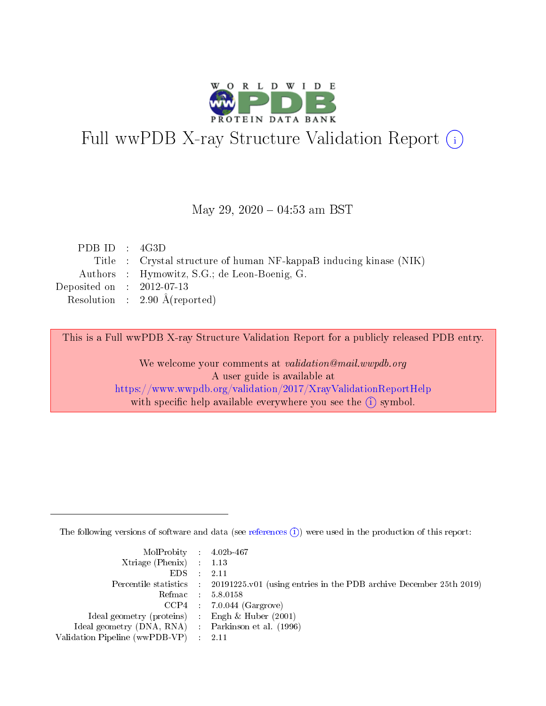

# Full wwPDB X-ray Structure Validation Report (i)

#### May 29,  $2020 - 04:53$  am BST

| PDB ID : $4G3D$                                                    |
|--------------------------------------------------------------------|
| Title : Crystal structure of human NF-kappaB inducing kinase (NIK) |
| Authors : Hymowitz, S.G.; de Leon-Boenig, G.                       |
| Deposited on : $2012-07-13$                                        |
| Resolution : $2.90 \text{ Å}$ (reported)                           |
|                                                                    |

This is a Full wwPDB X-ray Structure Validation Report for a publicly released PDB entry.

We welcome your comments at validation@mail.wwpdb.org A user guide is available at <https://www.wwpdb.org/validation/2017/XrayValidationReportHelp> with specific help available everywhere you see the  $(i)$  symbol.

The following versions of software and data (see [references](https://www.wwpdb.org/validation/2017/XrayValidationReportHelp#references)  $(i)$ ) were used in the production of this report:

| MolProbity : 4.02b-467                              |                                                                                            |
|-----------------------------------------------------|--------------------------------------------------------------------------------------------|
| Xtriage (Phenix) $: 1.13$                           |                                                                                            |
| $EDS = 2.11$                                        |                                                                                            |
|                                                     | Percentile statistics : 20191225.v01 (using entries in the PDB archive December 25th 2019) |
|                                                     | Refmac : 5.8.0158                                                                          |
|                                                     | $CCP4$ : 7.0.044 (Gargrove)                                                                |
| Ideal geometry (proteins) : Engh $\&$ Huber (2001)  |                                                                                            |
| Ideal geometry (DNA, RNA) : Parkinson et al. (1996) |                                                                                            |
| Validation Pipeline (wwPDB-VP) : 2.11               |                                                                                            |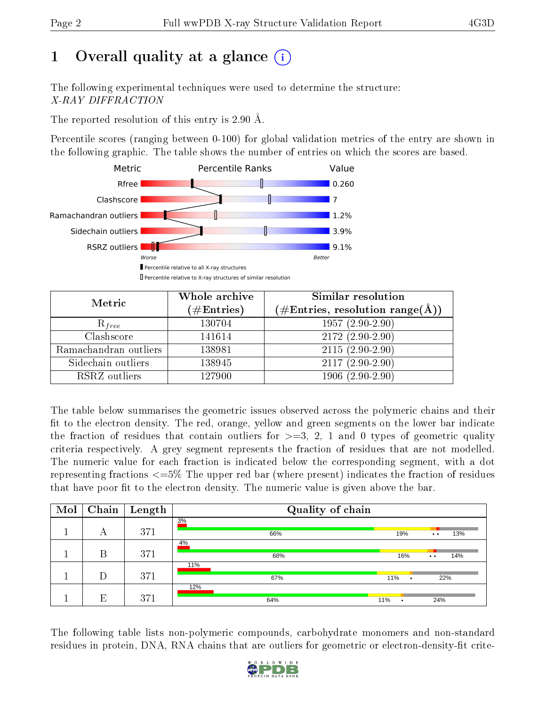# 1 [O](https://www.wwpdb.org/validation/2017/XrayValidationReportHelp#overall_quality)verall quality at a glance  $(i)$

The following experimental techniques were used to determine the structure: X-RAY DIFFRACTION

The reported resolution of this entry is 2.90 Å.

Percentile scores (ranging between 0-100) for global validation metrics of the entry are shown in the following graphic. The table shows the number of entries on which the scores are based.



| Metric                | Whole archive<br>$(\#\text{Entries})$ | Similar resolution<br>$(\#\text{Entries},\,\text{resolution}\,\,\text{range}(\textup{\AA}))$ |
|-----------------------|---------------------------------------|----------------------------------------------------------------------------------------------|
| $R_{free}$            | 130704                                | $1957(2.90-2.90)$                                                                            |
| Clashscore            | 141614                                | $2172(2.90-2.90)$                                                                            |
| Ramachandran outliers | 138981                                | $2115(2.90-2.90)$                                                                            |
| Sidechain outliers    | 138945                                | $2117(2.90-2.90)$                                                                            |
| RSRZ outliers         | 127900                                | $1906(2.90-2.90)$                                                                            |

The table below summarises the geometric issues observed across the polymeric chains and their fit to the electron density. The red, orange, yellow and green segments on the lower bar indicate the fraction of residues that contain outliers for  $>=3, 2, 1$  and 0 types of geometric quality criteria respectively. A grey segment represents the fraction of residues that are not modelled. The numeric value for each fraction is indicated below the corresponding segment, with a dot representing fractions <=5% The upper red bar (where present) indicates the fraction of residues that have poor fit to the electron density. The numeric value is given above the bar.

| Mol | Chain | $\mathbf{Length}$ | Quality of chain |                  |                                                     |  |
|-----|-------|-------------------|------------------|------------------|-----------------------------------------------------|--|
|     | А     | 371               | 3%<br>66%        | 19%              | 13%<br>$\bullet\bullet$                             |  |
|     | В     | 371               | 4%<br>68%        | 16%              | 14%<br>$\bullet\hspace{0.4mm}\bullet\hspace{0.4mm}$ |  |
|     | D     | 371               | 11%<br>67%       | 11%<br>$\bullet$ | 22%                                                 |  |
|     | E     | 371               | 12%<br>64%       | 11%<br>٠         | 24%                                                 |  |

The following table lists non-polymeric compounds, carbohydrate monomers and non-standard residues in protein, DNA, RNA chains that are outliers for geometric or electron-density-fit crite-

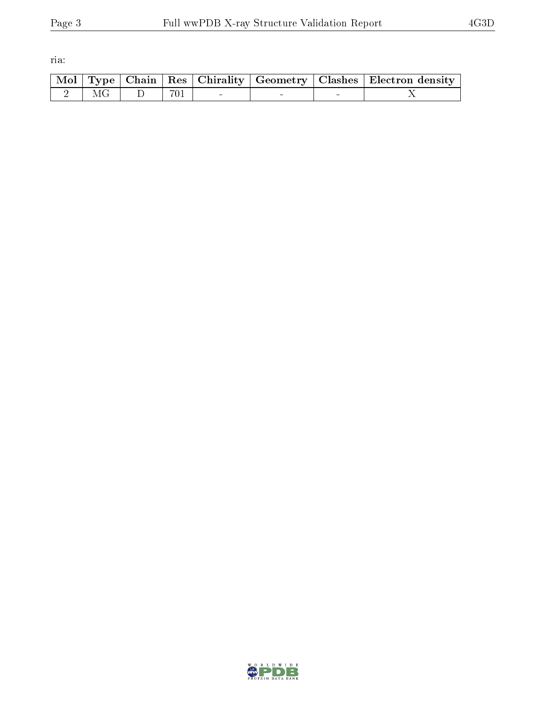ria:

|  |                                                                                                                        |  |        | Mol   Type   Chain   Res   Chirality   Geometry   Clashes   Electron density |
|--|------------------------------------------------------------------------------------------------------------------------|--|--------|------------------------------------------------------------------------------|
|  | $\begin{array}{ c c c c c c c c c } \hline 2 & \text{MG} & \text{DG} & \text{D} & 701 & \text{ } \ \hline \end{array}$ |  | $\sim$ |                                                                              |

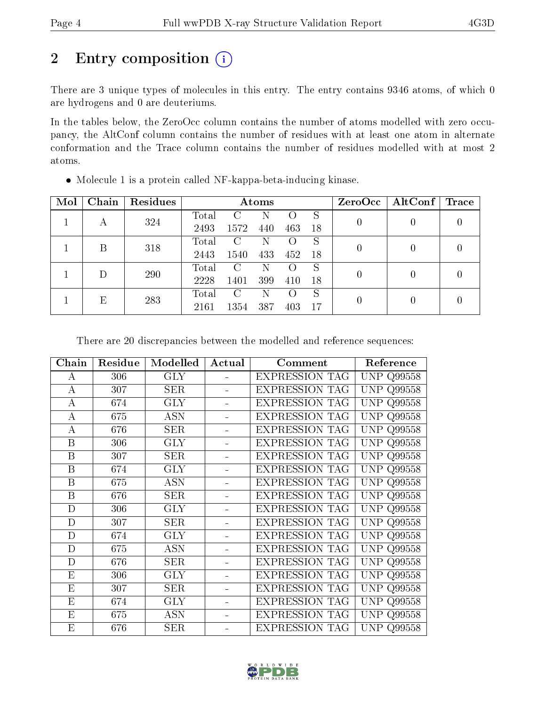# 2 Entry composition (i)

There are 3 unique types of molecules in this entry. The entry contains 9346 atoms, of which 0 are hydrogens and 0 are deuteriums.

In the tables below, the ZeroOcc column contains the number of atoms modelled with zero occupancy, the AltConf column contains the number of residues with at least one atom in alternate conformation and the Trace column contains the number of residues modelled with at most 2 atoms.

| Mol | Chain | Residues | Atoms        |               |                    |     | ZeroOcc  | $\mid$ AltConf $\mid$ | $\operatorname{Trace}$ |  |
|-----|-------|----------|--------------|---------------|--------------------|-----|----------|-----------------------|------------------------|--|
|     |       | 324      | Total        | C             | N                  |     | S        |                       |                        |  |
| А   |       | 2493     | 1572         | 440           | 463                | 18  |          |                       |                        |  |
|     | В     | 318      | Total        | $\mathcal{C}$ | N                  |     | S        | 0                     |                        |  |
|     |       |          | 2443         | 1540          | 433                | 452 | 18       |                       |                        |  |
|     |       | 290      | Total        | C             | N                  |     | S        | $\theta$              |                        |  |
|     |       | 2228     | 1401         | 399           | 410                | 18  |          |                       |                        |  |
| Е   | 283   | Total    | $\mathcal C$ | N             | $\left( \ \right)$ | S   |          |                       |                        |  |
|     |       | 2161     | 1354         | 387           | 403                | 17  | $\theta$ |                       |                        |  |

Molecule 1 is a protein called NF-kappa-beta-inducing kinase.

There are 20 discrepancies between the modelled and reference sequences:

| Chain       | Residue | Modelled             | Actual         | Comment               | Reference            |
|-------------|---------|----------------------|----------------|-----------------------|----------------------|
| А           | 306     | <b>GLY</b>           |                | <b>EXPRESSION TAG</b> | UNP<br>Q99558        |
| А           | 307     | SER                  |                | <b>EXPRESSION TAG</b> | <b>UNP</b><br>Q99558 |
| $\bf{A}$    | 674     | <b>GLY</b>           | $\blacksquare$ | <b>EXPRESSION TAG</b> | <b>UNP</b><br>Q99558 |
| А           | 675     | <b>ASN</b>           |                | <b>EXPRESSION TAG</b> | UNP<br>Q99558        |
| A           | 676     | SER                  |                | <b>EXPRESSION TAG</b> | <b>UNP Q99558</b>    |
| B           | 306     | <b>GLY</b>           |                | <b>EXPRESSION TAG</b> | <b>UNP</b><br>Q99558 |
| B           | 307     | SER                  |                | <b>EXPRESSION TAG</b> | UNP<br>Q99558        |
| B           | 674     | <b>GLY</b>           |                | <b>EXPRESSION TAG</b> | <b>UNP Q99558</b>    |
| Β           | 675     | <b>ASN</b>           |                | <b>EXPRESSION TAG</b> | <b>UNP Q99558</b>    |
| B           | 676     | SER                  |                | <b>EXPRESSION TAG</b> | UNP<br>Q99558        |
| D           | 306     | GLY                  |                | <b>EXPRESSION TAG</b> | UNP<br>Q99558        |
| $\mathbf D$ | 307     | SER                  |                | <b>EXPRESSION TAG</b> | UNP<br>Q99558        |
| D           | 674     | <b>GLY</b>           |                | <b>EXPRESSION TAG</b> | UNP<br>Q99558        |
| D           | 675     | <b>ASN</b>           |                | <b>EXPRESSION TAG</b> | <b>UNP</b><br>Q99558 |
| D           | 676     | $\operatorname{SER}$ |                | <b>EXPRESSION TAG</b> | <b>UNP</b><br>Q99558 |
| E           | 306     | <b>GLY</b>           | ÷.             | <b>EXPRESSION TAG</b> | <b>UNP</b><br>Q99558 |
| E           | 307     | SER                  |                | <b>EXPRESSION TAG</b> | <b>UNP</b><br>Q99558 |
| E           | 674     | <b>GLY</b>           | $\blacksquare$ | <b>EXPRESSION TAG</b> | <b>UNP</b><br>Q99558 |
| E           | 675     | <b>ASN</b>           |                | <b>EXPRESSION TAG</b> | <b>UNP</b><br>Q99558 |
| E           | 676     | SER                  |                | <b>EXPRESSION TAG</b> | UNP<br>Q99558        |

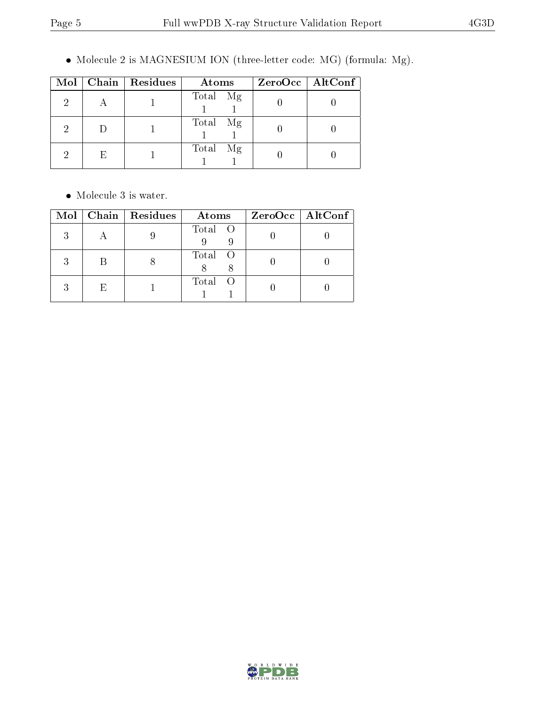$\bullet$  Molecule 2 is MAGNESIUM ION (three-letter code: MG) (formula: Mg).

|   |   | Mol   Chain   Residues | Atoms       | $ZeroOcc$   AltConf |
|---|---|------------------------|-------------|---------------------|
| 2 |   |                        | Total Mg    |                     |
| 9 |   |                        | Total<br>Mg |                     |
| ച | E |                        | Total<br>Mg |                     |

 $\bullet\,$  Molecule 3 is water.

| Mol |    | Chain   Residues | Atoms   | $ZeroOcc \mid AltConf \mid$ |
|-----|----|------------------|---------|-----------------------------|
| २   |    |                  | Total O |                             |
| २   |    |                  | Total O |                             |
| 2   | Н, |                  | Total O |                             |

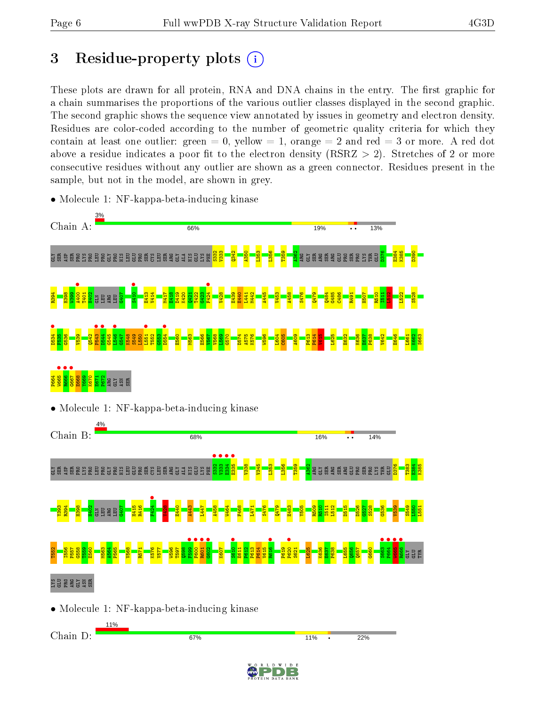# 3 Residue-property plots  $(i)$

These plots are drawn for all protein, RNA and DNA chains in the entry. The first graphic for a chain summarises the proportions of the various outlier classes displayed in the second graphic. The second graphic shows the sequence view annotated by issues in geometry and electron density. Residues are color-coded according to the number of geometric quality criteria for which they contain at least one outlier: green  $= 0$ , yellow  $= 1$ , orange  $= 2$  and red  $= 3$  or more. A red dot above a residue indicates a poor fit to the electron density (RSRZ  $> 2$ ). Stretches of 2 or more consecutive residues without any outlier are shown as a green connector. Residues present in the sample, but not in the model, are shown in grey.



• Molecule 1: NF-kappa-beta-inducing kinase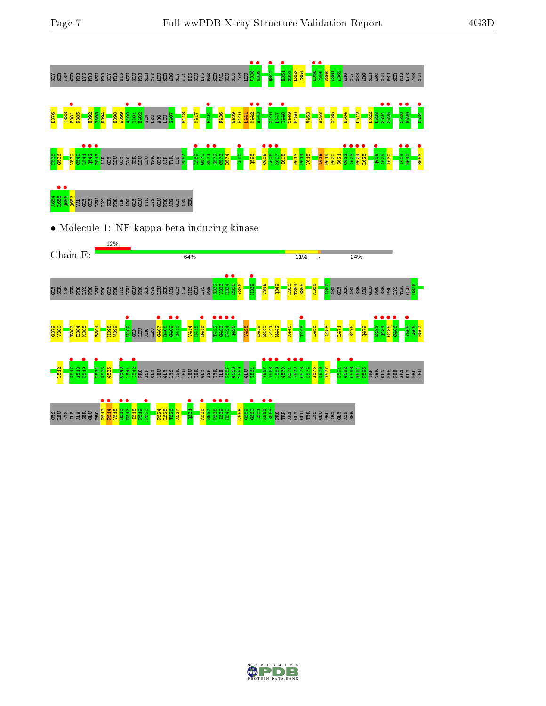

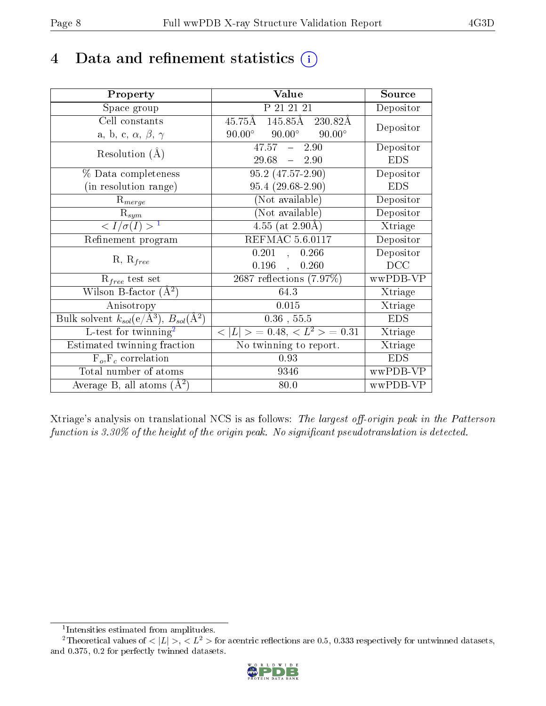## 4 Data and refinement statistics  $(i)$

| Property                                                         | Value                                              | Source     |
|------------------------------------------------------------------|----------------------------------------------------|------------|
| Space group                                                      | P 21 21 21                                         | Depositor  |
| Cell constants                                                   | $145.85\text{\AA}$<br>$45.75\text{\AA}$<br>230.82Å | Depositor  |
| a, b, c, $\alpha$ , $\beta$ , $\gamma$                           | $90.00^{\circ}$ $90.00^{\circ}$<br>$90.00^\circ$   |            |
| Resolution $(A)$                                                 | $47.57 - 2.90$                                     | Depositor  |
|                                                                  | $29.68 - 2.90$                                     | <b>EDS</b> |
| % Data completeness                                              | $95.2(47.57-2.90)$                                 | Depositor  |
| (in resolution range)                                            | $95.4(29.68-2.90)$                                 | <b>EDS</b> |
| $R_{merge}$                                                      | (Not available)                                    | Depositor  |
| $\mathrm{R}_{sym}$                                               | (Not available)                                    | Depositor  |
| $\langle I/\sigma(I) \rangle^{-1}$                               | $4.55$ (at 2.90Å)                                  | Xtriage    |
| Refinement program                                               | <b>REFMAC 5.6.0117</b>                             | Depositor  |
|                                                                  | 0.201,<br>0.266                                    | Depositor  |
| $R, R_{free}$                                                    | $0.196$ ,<br>0.260                                 | DCC        |
| $\mathcal{R}_{free}$ test set                                    | $2687$ reflections $(7.97\%)$                      | wwPDB-VP   |
| Wilson B-factor $(A^2)$                                          | 64.3                                               | Xtriage    |
| Anisotropy                                                       | 0.015                                              | Xtriage    |
| Bulk solvent $k_{sol}(\text{e}/\text{A}^3), B_{sol}(\text{A}^2)$ | $0.36$ , $55.5$                                    | <b>EDS</b> |
| L-test for $\overline{\text{twinning}}^2$                        | $< L >$ = 0.48, $< L2$ = 0.31                      | Xtriage    |
| Estimated twinning fraction                                      | No twinning to report.                             | Xtriage    |
| $F_o, F_c$ correlation                                           | 0.93                                               | <b>EDS</b> |
| Total number of atoms                                            | 9346                                               | wwPDB-VP   |
| Average B, all atoms $(A^2)$                                     | 80.0                                               | wwPDB-VP   |

Xtriage's analysis on translational NCS is as follows: The largest off-origin peak in the Patterson function is  $3.30\%$  of the height of the origin peak. No significant pseudotranslation is detected.

<sup>&</sup>lt;sup>2</sup>Theoretical values of  $\langle |L| \rangle$ ,  $\langle L^2 \rangle$  for acentric reflections are 0.5, 0.333 respectively for untwinned datasets, and 0.375, 0.2 for perfectly twinned datasets.



<span id="page-7-1"></span><span id="page-7-0"></span><sup>1</sup> Intensities estimated from amplitudes.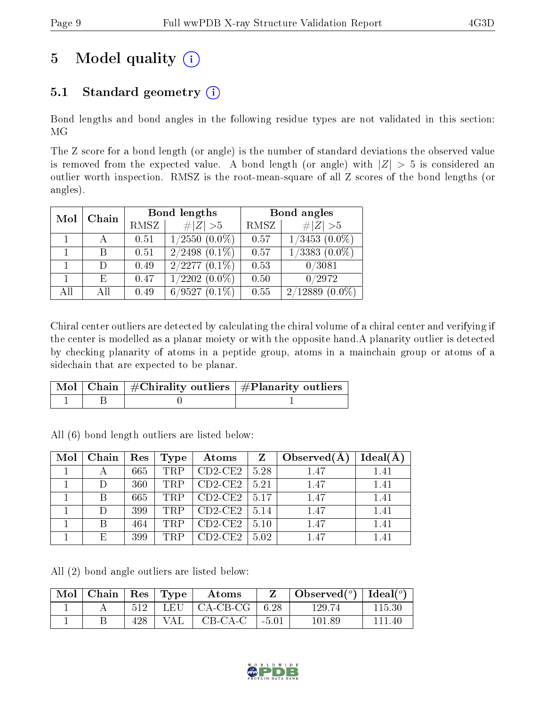# 5 Model quality  $(i)$

## 5.1 Standard geometry  $(i)$

Bond lengths and bond angles in the following residue types are not validated in this section: MG

The Z score for a bond length (or angle) is the number of standard deviations the observed value is removed from the expected value. A bond length (or angle) with  $|Z| > 5$  is considered an outlier worth inspection. RMSZ is the root-mean-square of all Z scores of the bond lengths (or angles).

| Chain<br>Mol |      |             | Bond lengths       | Bond angles |                    |  |
|--------------|------|-------------|--------------------|-------------|--------------------|--|
|              | RMSZ | $\# Z  > 5$ | RMSZ               | # $ Z >5$   |                    |  |
|              |      | 0.51        | $1/2550$ $(0.0\%)$ | 0.57        | $1/3453$ $(0.0\%)$ |  |
|              |      | 0.51        | $2/2498$ $(0.1\%)$ | 0.57        | $1/3383$ $(0.0\%)$ |  |
|              | D    | 0.49        | $2/2277(0.1\%)$    | 0.53        | 0/3081             |  |
|              | E,   | 0.47        | $1/2202(0.0\%)$    | 0.50        | 0/2972             |  |
| All          | Αll  | 0.49        | $6/9527(0.1\%)$    | 0.55        | $2/12889(0.0\%)$   |  |

Chiral center outliers are detected by calculating the chiral volume of a chiral center and verifying if the center is modelled as a planar moiety or with the opposite hand.A planarity outlier is detected by checking planarity of atoms in a peptide group, atoms in a mainchain group or atoms of a sidechain that are expected to be planar.

|  | Mol   Chain   $\#\text{Chirality outliers}$   $\#\text{Planarity outliers}$ |
|--|-----------------------------------------------------------------------------|
|  |                                                                             |

All (6) bond length outliers are listed below:

| Mol | Chain | Res | Type       | Atoms     | $\mathbf{Z}$ | Observed $(A)$ | Ideal $(A)$ |
|-----|-------|-----|------------|-----------|--------------|----------------|-------------|
|     |       | 665 | <b>TRP</b> | $CD2-CE2$ | 5.28         | 1.47           | 1.41        |
|     |       | 360 | <b>TRP</b> | $CD2-CE2$ | 5.21         | 1.47           | 1.41        |
|     | В     | 665 | <b>TRP</b> | $CD2-CE2$ | 5.17         | 1.47           | 1.41        |
|     |       | 399 | <b>TRP</b> | $CD2-CE2$ | 5.14         | 1.47           | 1.41        |
|     | R     | 464 | <b>TRP</b> | $CD2-CE2$ | 5.10         | 1.47           | 1.41        |
|     | E,    | 399 | <b>TRP</b> | $CD2-CE2$ | 5.02         | 1.47           | 1.41        |

All (2) bond angle outliers are listed below:

| $\vert$ Mol $\vert$ Chain $\vert$ Res $\vert$ Type $\vert$ |     |     | Atoms                         |         | Observed( $^{\circ}$ )   Ideal( $^{\circ}$ ) |        |
|------------------------------------------------------------|-----|-----|-------------------------------|---------|----------------------------------------------|--------|
|                                                            |     |     | $512$   LEU   CA-CB-CG   6.28 |         | 129.74                                       | 115.30 |
|                                                            | 428 | VAL | CB-CA-C                       | $-5.01$ | 101.89                                       | 111 40 |

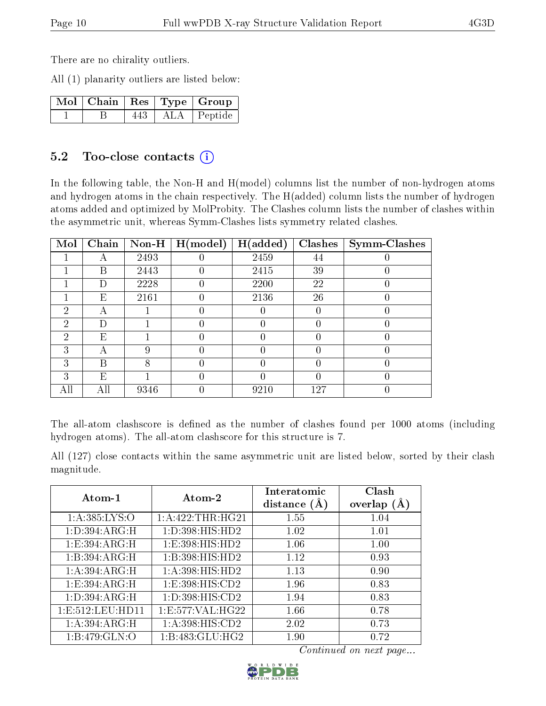There are no chirality outliers.

All (1) planarity outliers are listed below:

|  |     | $\lceil\,\mathrm{Mol}\,\rceil$ Chain $\mid\mathrm{Res}\mid\mathrm{Type}\mid\mathrm{Group}\rangle$ |
|--|-----|---------------------------------------------------------------------------------------------------|
|  | 443 | ALA Peptide                                                                                       |

### 5.2 Too-close contacts  $(i)$

In the following table, the Non-H and H(model) columns list the number of non-hydrogen atoms and hydrogen atoms in the chain respectively. The H(added) column lists the number of hydrogen atoms added and optimized by MolProbity. The Clashes column lists the number of clashes within the asymmetric unit, whereas Symm-Clashes lists symmetry related clashes.

| Mol | Chain | $Non-H$ | H (model)        | H(added) | <b>Clashes</b> | <b>Symm-Clashes</b> |
|-----|-------|---------|------------------|----------|----------------|---------------------|
|     | А     | 2493    |                  | 2459     | 44             |                     |
|     | В     | 2443    | $\left( \right)$ | 2415     | 39             |                     |
|     | D     | 2228    | 0                | 2200     | 22             |                     |
|     | Ε     | 2161    |                  | 2136     | 26             |                     |
| 2   | А     |         |                  |          |                |                     |
| 2   | Ð     |         |                  |          |                |                     |
| 2   | E     |         |                  |          |                |                     |
| 3   | А     | 9       |                  |          |                |                     |
| 3   | B     | 8       |                  |          |                |                     |
| 3   | Ε     |         |                  |          |                |                     |
| All | All   | 9346    |                  | 9210     | 127            |                     |

The all-atom clashscore is defined as the number of clashes found per 1000 atoms (including hydrogen atoms). The all-atom clashscore for this structure is 7.

All (127) close contacts within the same asymmetric unit are listed below, sorted by their clash magnitude.

| Atom-1               | Atom-2                       | Interatomic<br>distance $(A)$ | Clash<br>overlap $(A)$ |
|----------------------|------------------------------|-------------------------------|------------------------|
| 1: A: 385: LYS: O    | 1:A:422:THR:HG21             | 1.55                          | 1.04                   |
| 1: D:394: ARG:H      | 1: D: 398: HIS: HD2          | 1.02                          | 1.01                   |
| 1: E: 394: ARG: H    | 1: E: 398: HIS: HD2          | 1.06                          | 1.00                   |
| 1: B:394: ARG:H      | 1:B:398:HIS:HD2              | 1.12                          | 0.93                   |
| 1: A:394:ARG:H       | 1: A:398: HIS: HD2           | 1.13                          | 0.90                   |
| 1: E: 394: ARG: H    | 1: E: 398: HIS: CD2          | 1.96                          | 0.83                   |
| 1: D:394:ARG:H       | 1: D: 398: HIS: CD2          | 1.94                          | 0.83                   |
| 1: E: 512: LEU: HD11 | 1:E:577:VAL:HG22             | 1.66                          | 0.78                   |
| 1: A:394:ARG:H       | $1:A:398:HIS:\overline{CD2}$ | 2.02                          | 0.73                   |
| 1:B:479:GLN:O        | 1:B:483:GLU:HG2              | 1.90                          | 0.72                   |

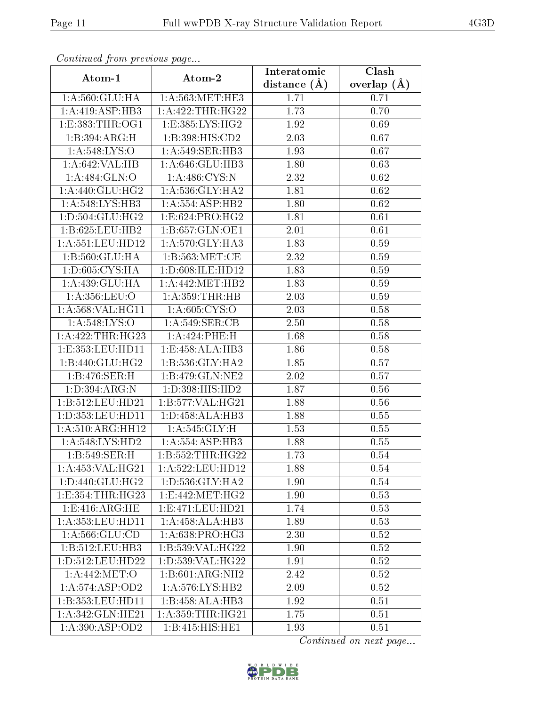| Continued from previous page   |                               | Interatomic    | Clash           |
|--------------------------------|-------------------------------|----------------|-----------------|
| Atom-1                         | Atom-2                        | distance $(A)$ | overlap $(\AA)$ |
| 1: A:560: GLU: HA              | 1: A: 563: MET: HE3           | 1.71           | 0.71            |
| 1:A:419:ASP:HB3                | 1:A:422:THR:HG22              | 1.73           | 0.70            |
| 1: E: 383: THR: OG1            | 1:E:385:LYS:HG2               | 1.92           | 0.69            |
| 1:B:394:ARG:H                  | 1:B:398:HIS:CD2               | 2.03           | 0.67            |
| $1: A:548: LY\overline{S:O}$   | 1:A:549:SER:HB3               | 1.93           | 0.67            |
| 1:A:642:VAL:HB                 | 1:A:646:GLU:HB3               | 1.80           | 0.63            |
| 1:A:484:GLN:O                  | 1: A:486: CYS:N               | 2.32           | 0.62            |
| 1: A:440: GLU: HG2             | 1: A:536: GLY:HA2             | 1.81           | 0.62            |
| 1:A:548:LYS:HB3                | 1: A: 554: ASP: HB2           | 1.80           | 0.62            |
| 1: D: 504: GLU: HG2            | 1:E:624:PRO:HG2               | 1.81           | 0.61            |
| 1:B:625:LEU:HB2                | 1:B:657:GLN:OE1               | 2.01           | 0.61            |
| 1:A:551:LEU:HD12               | 1:A:570:GLY:HA3               | 1.83           | 0.59            |
| 1: B:560: GLU: HA              | 1: B: 563: MET:CE             | 2.32           | 0.59            |
| 1:D:605:CYS:HA                 | 1:D:608:ILE:HD12              | 1.83           | 0.59            |
| 1:A:439:GLU:HA                 | 1: A:442: MET:HB2             | 1.83           | 0.59            |
| 1: A: 356: LEU: O              | 1: A:359:THR:HB               | 2.03           | 0.59            |
| 1: A:568: VAL:HGI1             | 1: A:605: CYS:O               | 2.03           | 0.58            |
| 1: A:548: LYS:O                | 1: A:549: SER: CB             | 2.50           | 0.58            |
| 1: A:422:THR:HG23              | 1:A:424:PHE:H                 | 1.68           | 0.58            |
| 1:E:353:LEU:HD11               | 1:E:458:ALA:HB3               | 1.86           | 0.58            |
| 1:B:440:GLU:HG2                | 1:B:536:GLY:HA2               | 1.85           | 0.57            |
| 1:B:476:SER:H                  | 1:B:479:GLN:NE2               | 2.02           | 0.57            |
| 1:D:394:ARG:N                  | 1: D: 398: HIS: HD2           | 1.87           | 0.56            |
| 1:B:512:LEU:HD21               | 1:B:577:VAL:HG21              | 1.88           | 0.56            |
| 1:D:353:LEU:HD11               | 1:D:458:ALA:HB3               | 1.88           | $0.55\,$        |
| $1:A:510:A\overline{RG:HH12}$  | 1: A:545: GLY: H              | 1.53           | $0.55\,$        |
| 1:A:548:LYS:HD2                | $1:A:554: \overline{ASP:HB3}$ | 1.88           | 0.55            |
| 1:B:549:SER:H                  | 1: B: 552: THR: HG22          | 1.73           | 0.54            |
| 1:A:453:VAL:HG21               | 1: A:522: LEU: HD12           | 1.88           | 0.54            |
| 1: D: 440: GLU: HG2            | 1: D: 536: GLY: HA2           | 1.90           | 0.54            |
| 1:E:354:THR:HG23               | 1: E:442: MET:HG2             | 1.90           | 0.53            |
| 1: E:416: ARG: HE              | 1: E: 471: LEU: HD21          | 1.74           | 0.53            |
| 1:A:353:LEU:HDI1               | 1:A:458:ALA:HB3               | 1.89           | 0.53            |
| 1: A:566: GLU:CD               | 1: A:638: PRO:HG3             | 2.30           | 0.52            |
| 1:B:512:LEU:HB3                | 1:B:539:VAL:HG22              | 1.90           | 0.52            |
| 1:D:512:LEU:HD22               | 1:D:539:VAL:HG22              | 1.91           | 0.52            |
| 1: A:442: MET:O                | 1:B:601:ARG:NH2               | 2.42           | 0.52            |
| 1: A:574: ASP:OD2              | 1: A:576: LYS: HB2            | 2.09           | 0.52            |
| 1:B:353:LEU:HD11               | 1:B:458:ALA:HB3               | 1.92           | 0.51            |
| 1:A:342:GLN:HE21               | 1: A: 359: THR: HG21          | 1.75           | 0.51            |
| $1: A:390: \overline{ASP:OD2}$ | 1:B:415:HIS:HE1               | 1.93           | 0.51            |

Continued from previous page.

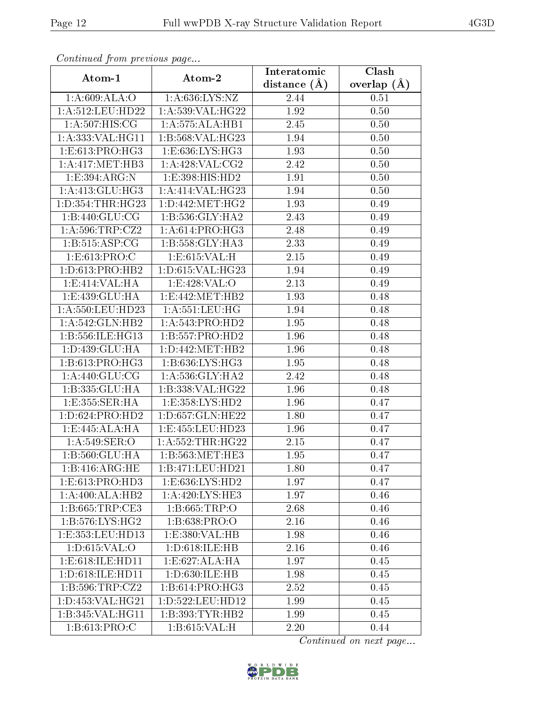| Continuaca from previous page                  |                      | Interatomic    | Clash           |
|------------------------------------------------|----------------------|----------------|-----------------|
| Atom-1                                         | Atom-2               | distance $(A)$ | overlap $(\AA)$ |
| 1:A:609:ALA:O                                  | 1: A:636: LYS: NZ    | 2.44           | 0.51            |
| $1: A:512:$ LEU:HD22                           | 1: A:539: VAL:HG22   | 1.92           | 0.50            |
| 1: A:507: HIS: CG                              | 1:A:575:ALA:HB1      | 2.45           | 0.50            |
| 1: A: 333: VAL: HG11                           | 1:B:568:VAL:HG23     | 1.94           | 0.50            |
| 1: E: 613: PRO: HG3                            | 1: E: 636: LYS: HG3  | 1.93           | 0.50            |
| 1: A: 417: MET: HB3                            | 1: A:428: VAL: CG2   | 2.42           | 0.50            |
| 1: E: 394: ARG: N                              | 1:E:398:HIS:HD2      | 1.91           | 0.50            |
| 1: A: 413: GLU: HG3                            | 1: A:414: VAL:HG23   | 1.94           | 0.50            |
| 1:D:354:THR:HG23                               | 1: D: 442:MET:HG2    | 1.93           | 0.49            |
| 1: B:440: GLU: CG                              | 1:B:536:GLY:HA2      | 2.43           | 0.49            |
| 1: A:596:TRP: CZ2                              | 1: A:614: PRO:HG3    | 2.48           | 0.49            |
| 1:B:515:ASP:CG                                 | 1:B:558:GLY:HA3      | 2.33           | 0.49            |
| 1:E:613:PRO:C                                  | 1:E:615:VAL:H        | 2.15           | 0.49            |
| 1: D: 613: PRO: HB2                            | 1:D:615:VAL:HG23     | 1.94           | 0.49            |
| 1:E:414:VAL:HA                                 | 1:E:428:VAL:O        | 2.13           | 0.49            |
| 1:E:439:GLU:HA                                 | 1:E:442:MET:HB2      | 1.93           | 0.48            |
| 1:A:550:LEU:HD23                               | 1:A:551:LEU:HG       | 1.94           | 0.48            |
| 1:A:542:GLN:HB2                                | 1: A:543: PRO:HD2    | 1.95           | 0.48            |
| 1:B:556:ILE:HG13                               | 1:B:557:PRO:HD2      | 1.96           | 0.48            |
| 1: D: 439: GLU: HA                             | 1: D: 442: MET: HB2  | 1.96           | 0.48            |
| 1: B:613: PRO:HG3                              | 1: B:636: LYS: HG3   | 1.95           | 0.48            |
| 1: A:440: GLU:CG                               | 1: A:536: GLY:HA2    | 2.42           | 0.48            |
| 1:B:335:GLU:HA                                 | 1:B:338:VAL:HG22     | 1.96           | 0.48            |
| 1:E:355:SER:HA                                 | 1:E:358:LYS:HD2      | 1.96           | 0.47            |
| 1: D:624: PRO:H <sub>D2</sub>                  | 1:D:657:GLN:HE22     | 1.80           | 0.47            |
| 1:E:445:ALA:HA                                 | 1:E:455:LEU:HD23     | 1.96           | 0.47            |
| 1: A:549: SER:O                                | 1: A: 552: THR: HG22 | 2.15           | 0.47            |
| 1:B:560:GLU:HA                                 | 1:B:563:MET:HE3      | 1.95           | 0.47            |
| 1:B:416:ARG:HE                                 | 1:B:471:LEU:HD21     | 1.80           | 0.47            |
| 1:E:613:PRO:HD3                                | 1: E: 636: LYS: HD2  | 1.97           | 0.47            |
| 1:A:400:ALA:HB2                                | 1:A:420:LYS:HE3      | 1.97           | 0.46            |
| 1:B:665:TRP:CE3                                | 1:B:665:TRP:O        | 2.68           | 0.46            |
| 1:B:576:LYS:HG2                                | 1: B: 638: PRO: O    | 2.16           | 0.46            |
| 1:E:353:LEU:HD13                               | 1: E: 380: VAL: HB   | 1.98           | 0.46            |
| 1: D:615: VAL:O                                | 1:D:618:ILE:HB       | 2.16           | 0.46            |
| 1: E:618: ILE: HD11                            | 1:E:627:ALA:HA       | 1.97           | 0.45            |
| 1:D:618:ILE:HD11                               | 1:D:630:ILE:HB       | 1.98           | 0.45            |
| $1: B: 596: \overline{\text{TRP}: \text{CZ2}}$ | 1:B:614:PRO:HG3      | 2.52           | 0.45            |
| 1:D:453:VAL:HG21                               | 1:D:522:LEU:HD12     | 1.99           | 0.45            |
| 1:B:345:VAL:HG11                               | 1:B:393:TYR:HB2      | 1.99           | 0.45            |
| 1: B:613: PRO: C                               | 1: B:615: VAL:H      | 2.20           | 0.44            |

Continued from previous page.

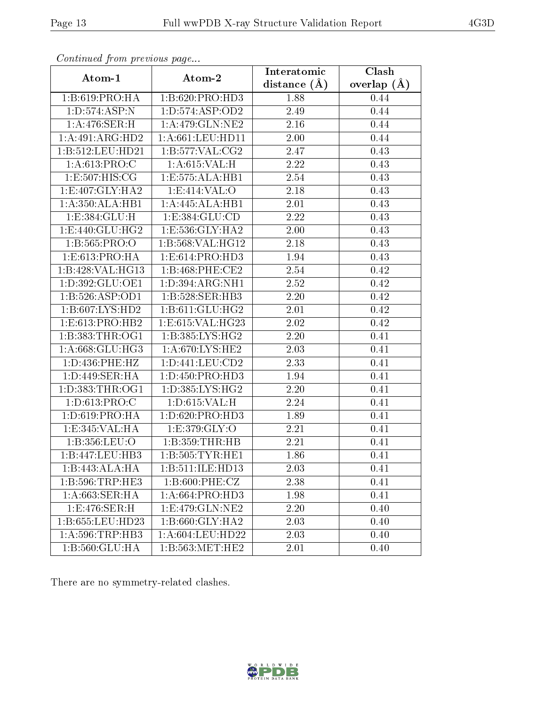| contentable from production page |                                 | Interatomic       | Clash         |
|----------------------------------|---------------------------------|-------------------|---------------|
| Atom-1                           | Atom-2                          | distance $(A)$    | overlap $(A)$ |
| 1:B:619:PRO:HA                   | 1:B:620:PRO:HD3                 | 1.88              | 0.44          |
| 1: D: 574: ASP: N                | 1: D: 574: ASP: OD2             | 2.49              | 0.44          |
| 1:A:476:SER:H                    | 1: A:479: GLN: NE2              | 2.16              | 0.44          |
| 1:A:491:ARG:HD2                  | 1: A:661:LEU:HD11               | 2.00              | 0.44          |
| 1:B:512:LEU:HD21                 | 1:B:577:VAL:CG2                 | 2.47              | 0.43          |
| 1: A:613: PRO:C                  | 1: A:615: VAL:H                 | 2.22              | 0.43          |
| 1:E:507:HIS:CG                   | 1: E: 575: ALA: HB1             | $\overline{2.54}$ | 0.43          |
| 1:E:407:GLY:HA2                  | 1: E: 414: VAL: O               | 2.18              | 0.43          |
| 1: A:350:ALA:HB1                 | 1:A:445:ALA:HB1                 | 2.01              | 0.43          |
| 1:E:384:GLU:H                    | 1: E: 384: GLU: CD              | 2.22              | 0.43          |
| 1:E:440:GLU:HG2                  | 1:E:536:GLY:HA2                 | 2.00              | 0.43          |
| 1: B: 565: PRO:O                 | 1:B:568:VAL:HG12                | 2.18              | 0.43          |
| 1:E:613:PRO:HA                   | 1: E: 614: PRO: HD3             | 1.94              | 0.43          |
| 1:B:428:VAL:HG13                 | 1:B:468:PHE:CE2                 | 2.54              | 0.42          |
| 1:D:392:GLU:OE1                  | 1: D: 394: ARG: NH1             | 2.52              | 0.42          |
| 1:B:526:ASP:OD1                  | 1:B:528:SER:HB3                 | 2.20              | 0.42          |
| 1:B:607:LYS:HD2                  | 1: B:611: GLU: HG2              | 2.01              | 0.42          |
| 1: E: 613: PRO: HB2              | 1:E:615:VAL:HG23                | 2.02              | 0.42          |
| 1: B: 383: THR: OG1              | 1:B:385:LYS:HG2                 | 2.20              | 0.41          |
| 1:A:668:GLU:HG3                  | 1: A:670: LYS: HE2              | 2.03              | 0.41          |
| 1: D: 436: PHE: HZ               | 1: D: 441: LEU: CD2             | 2.33              | 0.41          |
| 1: D:449: SER: HA                | 1:D:450:PRO:HD3                 | 1.94              | 0.41          |
| 1: D: 383: THR: OG1              | 1:D:385:LYS:HG2                 | 2.20              | 0.41          |
| 1:D:613:PRO:C                    | 1: D:615: VAL:H                 | 2.24              | 0.41          |
| 1: D: 619: PRO: HA               | 1: D:620: PRO:HD3               | 1.89              | 0.41          |
| 1:E:345:VAL:HA                   | 1:E:379:GLY:O                   | 2.21              | 0.41          |
| 1:B:356:LEU:O                    | 1: B: 359: THR: HB              | 2.21              | 0.41          |
| 1:B:447:LEU:HB3                  | 1:B:505:TYR:HE1                 | 1.86              | 0.41          |
| 1:B:443:ALA:HA                   | 1:B:511:ILE:HD13                | 2.03              | 0.41          |
| 1:B:596:TRP:HE3                  | 1:B:600:PHE:CZ                  | 2.38              | 0.41          |
| 1: A:663:SER:HA                  | 1: A:664: PRO:HD3               | 1.98              | 0.41          |
| 1:E:476:SER:H                    | $1: E:479: GLN: \overline{NE2}$ | 2.20              | 0.40          |
| 1:B:655:LEU:HD23                 | 1:B:660:GLY:HA2                 | 2.03              | 0.40          |
| 1: A:596:TRP:HB3                 | 1: A:604:LEU:HD22               | 2.03              | 0.40          |
| 1:B:560:GLU:HA                   | 1: B: 563: MET: HE2             | 2.01              | 0.40          |

Continued from previous page...

There are no symmetry-related clashes.

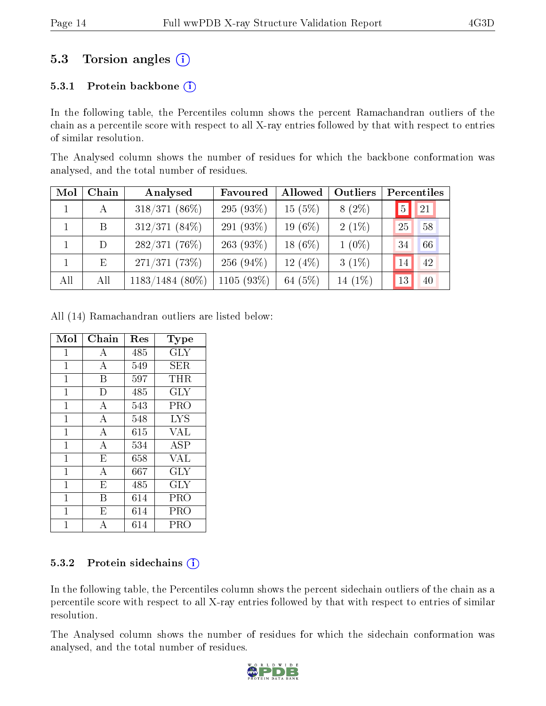## 5.3 Torsion angles (i)

#### 5.3.1 Protein backbone  $(i)$

In the following table, the Percentiles column shows the percent Ramachandran outliers of the chain as a percentile score with respect to all X-ray entries followed by that with respect to entries of similar resolution.

The Analysed column shows the number of residues for which the backbone conformation was analysed, and the total number of residues.

| Mol | Chain | Analysed          | Favoured     | Allowed   | Outliers |              | Percentiles |
|-----|-------|-------------------|--------------|-----------|----------|--------------|-------------|
|     | A     | $318/371(86\%)$   | 295 $(93%)$  | $15(5\%)$ | $8(2\%)$ | <sup>5</sup> | 21          |
|     | B     | $312/371(84\%)$   | 291 $(93\%)$ | 19 (6%)   | $2(1\%)$ | 25           | 58          |
|     | D     | $282/371(76\%)$   | $263(93\%)$  | $18(6\%)$ | $1(0\%)$ | 34           | 66          |
|     | Ε     | 271/371(73%)      | 256 $(94\%)$ | 12(4%)    | $3(1\%)$ | 14           | 42          |
| All | All   | $1183/1484$ (80%) | $1105(93\%)$ | 64 (5%)   | 14 (1%)  | 13           | 40          |

All (14) Ramachandran outliers are listed below:

| Mol            | Chain                   | Res | Type       |
|----------------|-------------------------|-----|------------|
| $\mathbf{1}$   | А                       | 485 | $\rm GLY$  |
| $\mathbf 1$    | $\boldsymbol{A}$        | 549 | SER        |
| $\mathbf{1}$   | B                       | 597 | THR        |
| $\mathbf{1}$   | D                       | 485 | <b>GLY</b> |
| $\mathbf{1}$   | А                       | 543 | PRO        |
| $\overline{1}$ | $\overline{\rm A}$      | 548 | <b>LYS</b> |
| $\mathbf{1}$   | A                       | 615 | <b>VAL</b> |
| $\overline{1}$ | $\overline{\rm A}$      | 534 | <b>ASP</b> |
| $\overline{1}$ | E                       | 658 | <b>VAL</b> |
| $\mathbf{1}$   | A                       | 667 | <b>GLY</b> |
| $\mathbf{1}$   | $\overline{E}$          | 485 | <b>GLY</b> |
| 1              | B                       | 614 | PRO        |
| 1              | $\overline{\mathrm{E}}$ | 614 | PRO        |
| 1              | А                       | 614 | PRO        |

#### 5.3.2 Protein sidechains (i)

In the following table, the Percentiles column shows the percent sidechain outliers of the chain as a percentile score with respect to all X-ray entries followed by that with respect to entries of similar resolution.

The Analysed column shows the number of residues for which the sidechain conformation was analysed, and the total number of residues.

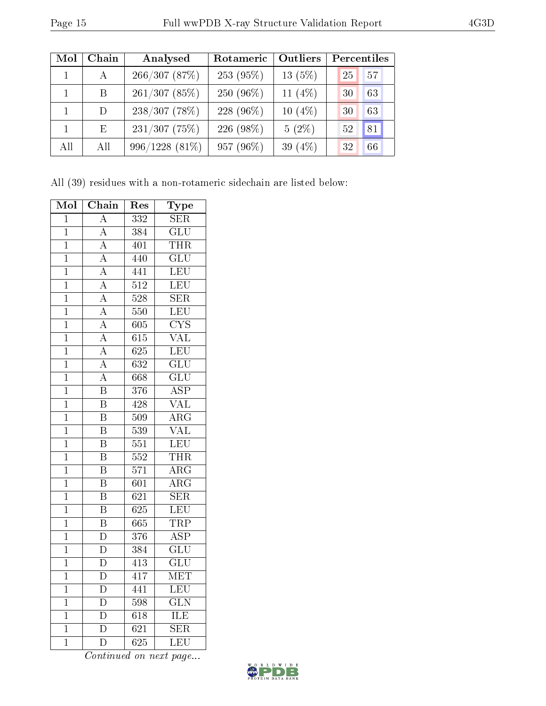| Mol | Chain        | Analysed        | Rotameric | <b>Outliers</b> | Percentiles |
|-----|--------------|-----------------|-----------|-----------------|-------------|
|     | $\mathbf{A}$ | 266/307(87%)    | 253 (95%) | $13(5\%)$       | 57<br>25    |
|     | B.           | 261/307(85%)    | 250 (96%) | 11 $(4%)$       | 63<br>30    |
|     | D            | $238/307$ (78%) | 228 (96%) | $10(4\%)$       | 63<br>30    |
|     | E            | $231/307$ (75%) | 226 (98%) | $5(2\%)$        | 81<br>52    |
| All | All          | 996/1228 (81%)  | 957 (96%) | 39 $(4\%)$      | 32<br>66    |

All (39) residues with a non-rotameric sidechain are listed below:

| Mol            | Chain                   | Res              | Type                      |
|----------------|-------------------------|------------------|---------------------------|
| $\mathbf 1$    | $\overline{\rm A}$      | 332              | SER                       |
| $\mathbf{1}$   | $\overline{\rm A}$      | 384              | $\overline{\text{GLU}}$   |
| $\overline{1}$ | $\overline{\rm A}$      | 401              | <b>THR</b>                |
| $\overline{1}$ | $\overline{A}$          | 440              | $\overline{\mathrm{GLU}}$ |
| $\mathbf{1}$   | $\overline{\rm A}$      | 441              | LEU                       |
| $\overline{1}$ | $\overline{A}$          | $\overline{512}$ | LEU                       |
| $\mathbf 1$    | $\overline{A}$          | $\overline{528}$ | <b>SER</b>                |
| $\overline{1}$ | $\overline{A}$          | $\overline{550}$ | $\overline{\text{LEU}}$   |
| $\mathbf 1$    | $\overline{A}$          | 605              | $\overline{\text{CYS}}$   |
| $\mathbf 1$    | $\overline{\rm A}$      | $\overline{615}$ | $\overline{\text{VAL}}$   |
| $\mathbf{1}$   | $\overline{\rm A}$      | 625              | LEU                       |
| $\mathbf{1}$   | $\overline{\rm A}$      | $\overline{632}$ | $\overline{\text{GLU}}$   |
| $\overline{1}$ | $\overline{\rm A}$      | 668              | $\overline{\text{GLU}}$   |
| $\mathbf{1}$   | $\overline{\mathrm{B}}$ | 376              | $\overline{\text{ASP}}$   |
| $\mathbf 1$    | $\overline{\mathrm{B}}$ | $\overline{428}$ | $\overline{\text{VAL}}$   |
| $\overline{1}$ | $\overline{\mathrm{B}}$ | 509              | $\overline{\rm{ARG}}$     |
| $\mathbf 1$    | $\overline{\mathrm{B}}$ | 539              | $\overline{\text{VAL}}$   |
| $\overline{1}$ | $\overline{\mathrm{B}}$ | $\overline{551}$ | LEU                       |
| $\mathbf{1}$   | $\overline{\text{B}}$   | 552              | <b>THR</b>                |
| $\mathbf 1$    | $\overline{\mathrm{B}}$ | $\overline{571}$ | $\overline{\rm{ARG}}$     |
| $\mathbf 1$    | $\overline{\mathrm{B}}$ | 601              | $\overline{\rm ARG}$      |
| $\mathbf{1}$   | $\overline{\mathrm{B}}$ | $\overline{621}$ | $\overline{\text{SER}}$   |
| $\overline{1}$ | $\overline{\mathrm{B}}$ | $\overline{625}$ | LEU                       |
| $\overline{1}$ | $\overline{\mathrm{B}}$ | 665              | TRP                       |
| $\mathbf 1$    | $\overline{\rm D}$      | $\overline{376}$ | $\overline{\text{ASP}}$   |
| $\overline{1}$ | $\overline{\rm D}$      | 384              | $\overline{\text{GLU}}$   |
| $\mathbf 1$    | $\overline{\rm D}$      | $\overline{413}$ | $\overline{{\rm GLU}}$    |
| $\overline{1}$ | $\overline{\rm D}$      | 417              | $\overline{\text{MET}}$   |
| $\overline{1}$ | $\overline{\rm D}$      | 441              | $\overline{\text{LEU}}$   |
| $\mathbf{1}$   | $\overline{\rm D}$      | 598              | $\overline{\text{GLN}}$   |
| $\mathbf 1$    | $\overline{\rm D}$      | 618              | <b>ILE</b>                |
| $\overline{1}$ | $\overline{\rm D}$      | $\overline{621}$ | $\overline{\text{SER}}$   |
| $\mathbf{1}$   | $\overline{\rm D}$      | $\overline{625}$ | $\overline{\text{LEU}}$   |

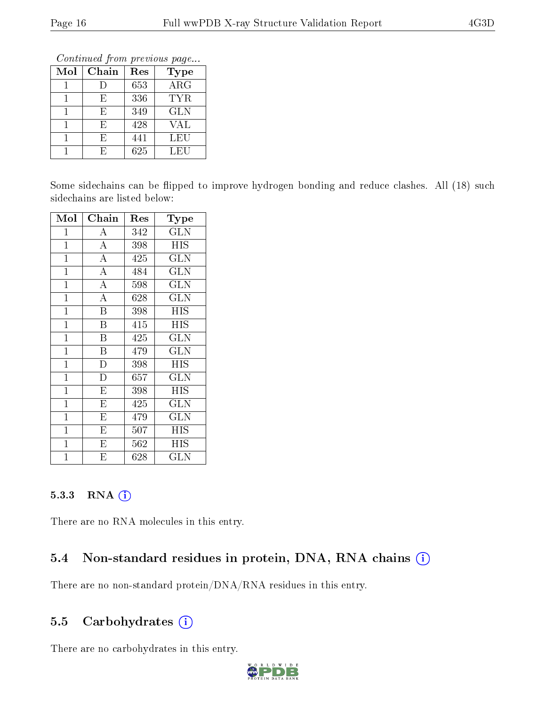Continued from previous page...

| Mol | Chain | Res | Type       |
|-----|-------|-----|------------|
|     | I)    | 653 | ARG        |
|     | F)    | 336 | TYR.       |
|     | Н,    | 349 | <b>GLN</b> |
|     | F,    | 428 | <b>VAL</b> |
|     | F,    | 441 | LEU        |
|     | F.    | 625 | LEU        |

Some sidechains can be flipped to improve hydrogen bonding and reduce clashes. All (18) such sidechains are listed below:

| Mol          | Chain                   | Res      | Type       |
|--------------|-------------------------|----------|------------|
| 1            | А                       | 342      | <b>GLN</b> |
| $\mathbf 1$  | $\overline{\rm A}$      | 398      | HIS        |
| $\mathbf{1}$ | $\overline{\rm A}$      | 425      | <b>GLN</b> |
| $\mathbf{1}$ | $\overline{\rm A}$      | 484      | GLN        |
| $\mathbf 1$  | $\overline{\rm A}$      | 598      | <b>GLN</b> |
| $\mathbf 1$  | $\overline{\rm A}$      | 628      | GLN        |
| $\mathbf{1}$ | $\rm \overline{B}$      | 398      | <b>HIS</b> |
| $\mathbf 1$  | $\overline{\mathrm{B}}$ | 415      | ΗIS        |
| $\mathbf{1}$ | B                       | 425      | GLN        |
| $\mathbf{1}$ | B                       | 479      | <b>GLN</b> |
| $\mathbf 1$  | $\overline{\rm D}$      | 398      | ΗIS        |
| $\mathbf 1$  | D                       | $_{657}$ | <b>GLN</b> |
| $\mathbf 1$  | $\overline{\mathrm{E}}$ | 398      | ΗIS        |
| $\mathbf 1$  | E                       | 425      | <b>GLN</b> |
| $\mathbf{1}$ | E                       | 479      | <b>GLN</b> |
| $\mathbf{1}$ | E                       | 507      | HIS        |
| $\mathbf 1$  | E                       | 562      | HIS        |
| 1            | E                       | 628      | GLN        |

#### 5.3.3 RNA [O](https://www.wwpdb.org/validation/2017/XrayValidationReportHelp#rna)i

There are no RNA molecules in this entry.

### 5.4 Non-standard residues in protein, DNA, RNA chains (i)

There are no non-standard protein/DNA/RNA residues in this entry.

### 5.5 Carbohydrates  $(i)$

There are no carbohydrates in this entry.

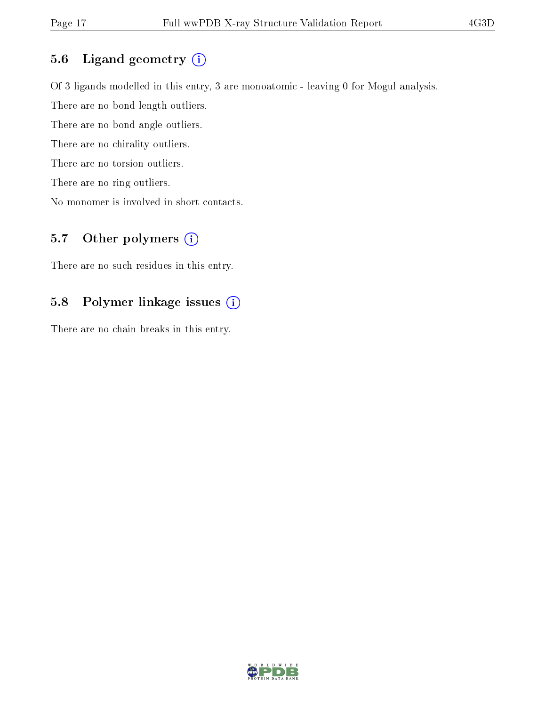### 5.6 Ligand geometry (i)

Of 3 ligands modelled in this entry, 3 are monoatomic - leaving 0 for Mogul analysis. There are no bond length outliers. There are no bond angle outliers. There are no chirality outliers. There are no torsion outliers.

There are no ring outliers.

No monomer is involved in short contacts.

## 5.7 [O](https://www.wwpdb.org/validation/2017/XrayValidationReportHelp#nonstandard_residues_and_ligands)ther polymers  $(i)$

There are no such residues in this entry.

### 5.8 Polymer linkage issues (i)

There are no chain breaks in this entry.

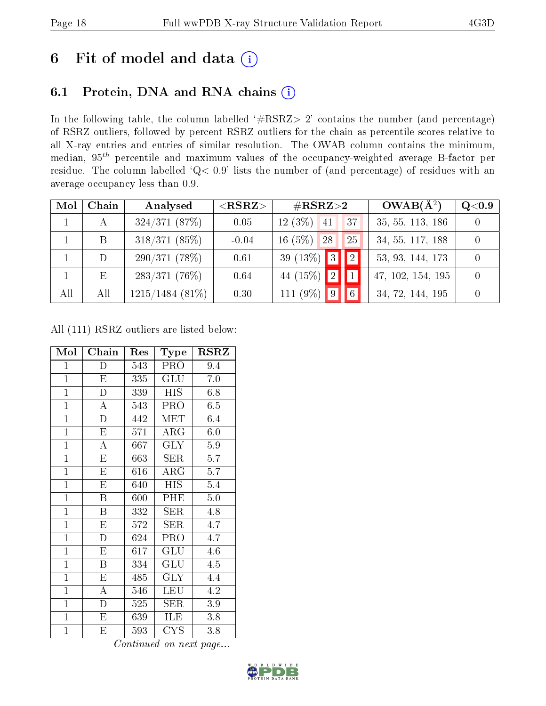## 6 Fit of model and data  $(i)$

## 6.1 Protein, DNA and RNA chains  $(i)$

In the following table, the column labelled  $#RSRZ> 2'$  contains the number (and percentage) of RSRZ outliers, followed by percent RSRZ outliers for the chain as percentile scores relative to all X-ray entries and entries of similar resolution. The OWAB column contains the minimum, median,  $95<sup>th</sup>$  percentile and maximum values of the occupancy-weighted average B-factor per residue. The column labelled ' $Q< 0.9$ ' lists the number of (and percentage) of residues with an average occupancy less than 0.9.

| Mol | Chain | Analysed           | $<$ RSRZ $>$ | $\#\mathrm{RSRZ}{>}2$                                  | $OWAB(A^2)$       | Q <sub>0.9</sub> |
|-----|-------|--------------------|--------------|--------------------------------------------------------|-------------------|------------------|
|     | А     | 324/371(87%)       | 0.05         | $12(3\%)$ 41<br>37                                     | 35, 55, 113, 186  |                  |
|     | B     | $318/371(85\%)$    | $-0.04$      | $16(5\%)$ 28<br>25                                     | 34, 55, 117, 188  |                  |
|     | D     | 290/371(78%)       | 0.61         | 39 (13\%) $3$<br>$\vert\vert\vert\vert\vert\vert\vert$ | 53, 93, 144, 173  |                  |
|     | E     | 283/371(76%)       | 0.64         | 44 (15%) $\boxed{2}$ $\boxed{1}$                       | 47, 102, 154, 195 |                  |
| All | All   | $1215/1484$ (81\%) | 0.30         | 111 (9%) $9$<br>$\overline{\phantom{a}}$ 6             | 34, 72, 144, 195  |                  |

All (111) RSRZ outliers are listed below:

| Mol            | ${\bf Chain}$           | Res | Type        | $_{\rm RSRZ}$ |
|----------------|-------------------------|-----|-------------|---------------|
| $\mathbf{1}$   | D                       | 543 | PRO         | 9.4           |
| $\overline{1}$ | ${\rm E}$               | 335 | GLU         | 7.0           |
| $\mathbf{1}$   | $\mathbf D$             | 339 | <b>HIS</b>  | 6.8           |
| $\overline{1}$ | $\mathbf{A}$            | 543 | PRO         | 6.5           |
| $\overline{1}$ | $\mathbf D$             | 442 | MET         | 6.4           |
| $\overline{1}$ | ${\bf E}$               | 571 | $\rm{ARG}$  | 6.0           |
| $\mathbf{1}$   | $\boldsymbol{A}$        | 667 | <b>GLY</b>  | $5.9\,$       |
| $\mathbf{1}$   | E                       | 663 | SER         | 5.7           |
| $\overline{1}$ | $\overline{\mathrm{E}}$ | 616 | ARG         | 5.7           |
| $\overline{1}$ | E                       | 640 | <b>HIS</b>  | 5.4           |
| $\mathbf{1}$   | B                       | 600 | PHE         | 5.0           |
| $\overline{1}$ | $\overline{\mathrm{B}}$ | 332 | ${\rm SER}$ | 4.8           |
| $\mathbf{1}$   | E                       | 572 | <b>SER</b>  | 4.7           |
| $\mathbf{1}$   | $\overline{D}$          | 624 | PRO         | 4.7           |
| $\overline{1}$ | E                       | 617 | GLU         | 4.6           |
| $\overline{1}$ | B                       | 334 | GLU         | 4.5           |
| $\overline{1}$ | $\overline{\mathrm{E}}$ | 485 | <b>GLY</b>  | 4.4           |
| $\mathbf{1}$   | A                       | 546 | LEU         | 4.2           |
| $\mathbf{1}$   | D                       | 525 | ${\rm SER}$ | 3.9           |
| $\overline{1}$ | $\overline{E}$          | 639 | ILE         | 3.8           |
| $\mathbf 1$    | Е                       | 593 | <b>CYS</b>  | 3.8           |

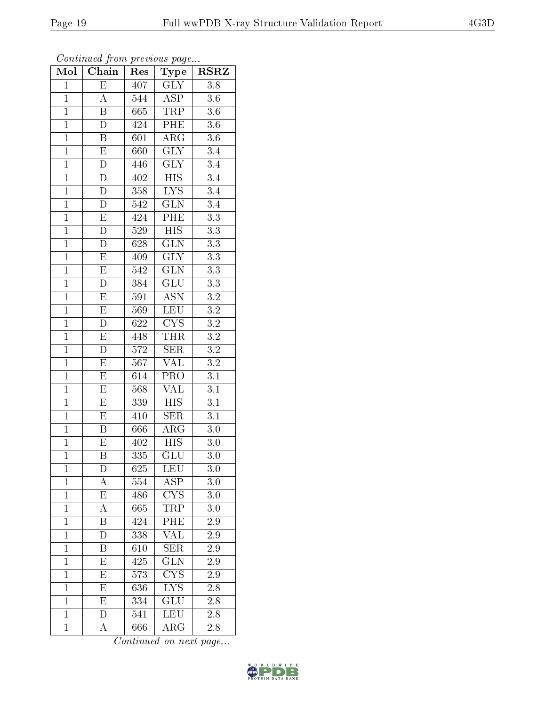| Mol            | Chain                   | Res              | Type                            | $\overline{\text{RSR}}$ |
|----------------|-------------------------|------------------|---------------------------------|-------------------------|
| $\mathbf{1}$   | $\overline{E}$          | 407              | <b>GLY</b>                      | 3.8                     |
| $\overline{1}$ | A                       | 544              | <b>ASP</b>                      | $3.6\,$                 |
| $\mathbf{1}$   | $\overline{\mathrm{B}}$ | 665              | <b>TRP</b>                      | $\overline{3.6}$        |
| $\mathbf{1}$   | $\overline{\rm D}$      | 424              | PHE                             | $3.\overline{6}$        |
| $\overline{1}$ | $\overline{\mathrm{B}}$ | 601              | $\overline{\rm{ARG}}$           | $\overline{3.6}$        |
| $\mathbf{1}$   | E                       | 660              | $\overline{\text{GLY}}$         | 3.4                     |
| $\overline{1}$ | $\overline{\rm D}$      | 446              | $\overline{\text{GLY}}$         | $\overline{3.4}$        |
| $\overline{1}$ | $\overline{\rm D}$      | 402              | $\overline{HIS}$                | $\overline{3.4}$        |
| $\mathbf{1}$   | ${\rm D}$               | 358              | $LYS$                           | 3.4                     |
| $\overline{1}$ | $\overline{\rm D}$      | 542              | $\overline{\text{GLN}}$         | $\overline{3.4}$        |
| $\overline{1}$ | $\overline{\mathrm{E}}$ | 424              | PHE                             | $\overline{3.3}$        |
| $\overline{1}$ | $\overline{\rm D}$      | 529              | $\overline{HIS}$                | $\overline{3.3}$        |
| $\overline{1}$ | $\overline{\rm D}$      | 628              | $\overline{\text{GLN}}$         | $\overline{3.3}$        |
| $\mathbf{1}$   | $\overline{\mathrm{E}}$ | 409              | <b>GLY</b>                      | $\overline{3.3}$        |
| $\overline{1}$ | $\overline{\mathrm{E}}$ | $\overline{542}$ | $\overline{\text{GLN}}$         | $\overline{3.3}$        |
| $\overline{1}$ | D                       | 384              | $\overline{{\rm GLU}}$          | $\overline{3.3}$        |
| $\overline{1}$ | $\overline{\mathrm{E}}$ | $\overline{591}$ | $\overline{\text{ASN}}$         | $\overline{3.2}$        |
| $\overline{1}$ | $\overline{\mathrm{E}}$ | 569              | LEU                             | $\overline{3.2}$        |
| $\overline{1}$ | $\overline{D}$          | 622              | $\overline{\text{C} \text{YS}}$ | $\overline{3.2}$        |
| $\overline{1}$ | $\overline{\mathrm{E}}$ | 448              | <b>THR</b>                      | $\overline{3.2}$        |
| $\overline{1}$ | D                       | 572              | <b>SER</b>                      | $\overline{3.2}$        |
| $\overline{1}$ | $\overline{\mathrm{E}}$ | 567              | <b>VAL</b>                      | $\overline{3.2}$        |
| $\mathbf{1}$   | $\mathbf E$             | 614              | PRO                             | 3.1                     |
| $\overline{1}$ | $\overline{\mathrm{E}}$ | 568              | $\overline{\text{VAL}}$         | $\overline{3.1}$        |
| $\overline{1}$ | $\overline{E}$          | 339              | <b>HIS</b>                      | $\overline{3.1}$        |
| $\overline{1}$ | $\overline{\mathrm{E}}$ | 410              | <b>SER</b>                      | $\overline{3.1}$        |
| $\overline{1}$ | B                       | 666              | $\overline{\rm{ARG}}$           | $\overline{3.0}$        |
| $\mathbf{1}$   | E                       | 402              | <b>HIS</b>                      | $3.0\,$                 |
| $\overline{1}$ | $\overline{\mathrm{B}}$ | 335              | $\overline{{\rm GLU}}$          | $\bar{3}.0$             |
| $\mathbf{1}$   | D                       | 625              | <b>LEU</b>                      | 3.0                     |
| $\mathbf{1}$   | A                       | 554              | $\overline{\text{ASP}}$         | 3.0                     |
| $\mathbf{1}$   | $\overline{\mathrm{E}}$ | 486              | CYS                             | 3.0                     |
| $\mathbf{1}$   | А                       | 665              | $TR\overline{P}$                | 3.0                     |
| $\mathbf{1}$   | $\overline{\mathrm{B}}$ | 424              | $\overline{\rm{PHE}}$           | $\overline{2.9}$        |
| $\mathbf{1}$   | D                       | 338              | $\overline{\text{VAL}}$         | 2.9                     |
| $\overline{1}$ | Β                       | 610              | $\overline{\text{SER}}$         | 2.9                     |
| $\mathbf{1}$   | E                       | 425              | $\overline{{\rm GLN}}$          | 2.9                     |
| $\mathbf 1$    | E                       | 573              | $\overline{\text{CYS}}$         | $2.9\,$                 |
| $\mathbf{1}$   | E                       | 636              | $\overline{\text{LYS}}$         | $2.\overline{8}$        |
| $\overline{1}$ | E                       | 334              | GLU                             | 2.8                     |
| $\mathbf{1}$   | $\overline{\rm D}$      | 541              | LEU                             | $\overline{2.8}$        |
| $\mathbf{1}$   | А                       | 666              | ARG                             | 2.8                     |

Continued from previous page...

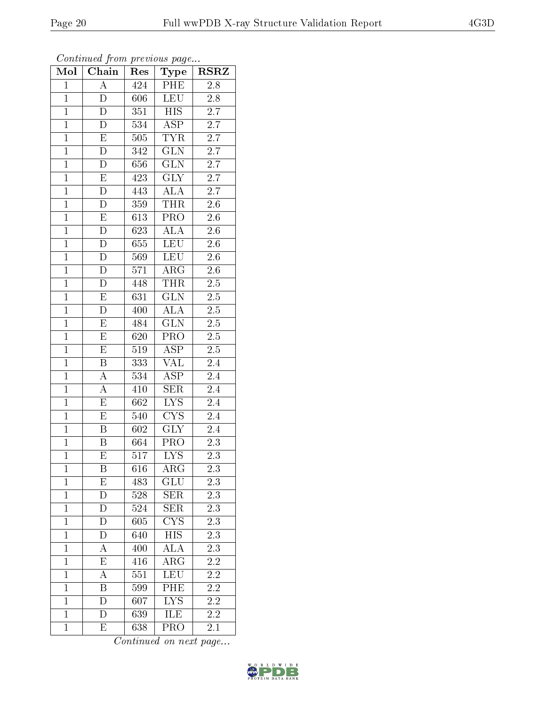| Mol            | Chain                   | Res              | Type                      | $\overline{\text{RSR}}$ |
|----------------|-------------------------|------------------|---------------------------|-------------------------|
| $\overline{1}$ | $\overline{A}$          | 424              | PHE                       | 2.8                     |
| $\overline{1}$ | D                       | 606              | <b>LEU</b>                | 2.8                     |
| $\overline{1}$ | $\overline{\rm D}$      | 351              | $\overline{HIS}$          | $\overline{2.7}$        |
| $\mathbf{1}$   | D                       | 534              | $\overline{\text{ASP}}$   | 2.7                     |
| $\overline{1}$ | $\overline{\mathrm{E}}$ | 505              | <b>TYR</b>                | $\overline{2.7}$        |
| $\overline{1}$ | D                       | 342              | <b>GLN</b>                | $2.\overline{7}$        |
| $\overline{1}$ | D                       | 656              | $\overline{\text{GLN}}$   | $\overline{2.7}$        |
| $\overline{1}$ | $\overline{\mathrm{E}}$ | 423              | $\overline{\text{GLY}}$   | $\overline{2.7}$        |
| $\overline{1}$ | $\overline{\rm D}$      | 443              | <b>ALA</b>                | $\overline{2.7}$        |
| $\overline{1}$ | $\overline{\rm D}$      | 359              | <b>THR</b>                | $\overline{2.6}$        |
| $\overline{1}$ | ${\rm E}$               | 613              | $\overline{\text{PRO}}$   | $\overline{2.6}$        |
| $\overline{1}$ | $\overline{\rm D}$      | 623              | $\overline{\rm ALA}$      | $\overline{2.6}$        |
| $\overline{1}$ | $\mathbf D$             | 655              | <b>LEU</b>                | $\overline{2.6}$        |
| $\overline{1}$ | $\overline{\rm D}$      | 569              | <b>LEU</b>                | $2.\overline{6}$        |
| $\overline{1}$ | $\overline{\rm D}$      | 571              | $\rm{ARG}$                | $\overline{2.6}$        |
| $\overline{1}$ | $\overline{\rm D}$      | 448              | <b>THR</b>                | $2.\overline{5}$        |
| $\overline{1}$ | $\overline{\mathrm{E}}$ | 631              | $\overline{\text{GLN}}$   | $\overline{2.5}$        |
| $\mathbf{1}$   | $\overline{\rm D}$      | 400              | <b>ALA</b>                | $2.\overline{5}$        |
| $\mathbf{1}$   | $\mathbf E$             | 484              | <b>GLN</b>                | $2.5\,$                 |
| $\overline{1}$ | $\overline{E}$          | 620              | $\overline{\text{PRO}}$   | $2.\overline{5}$        |
| $\overline{1}$ | E                       | 519              | <b>ASP</b>                | $\overline{2.5}$        |
| $\overline{1}$ | $\overline{\mathrm{B}}$ | 333              | $\overline{\text{VAL}}$   | $\overline{2.4}$        |
| $\mathbf{1}$   | $\boldsymbol{A}$        | 534              | ASP                       | 2.4                     |
| $\overline{1}$ | $\overline{\rm A}$      | $41\overline{0}$ | $\overline{\text{SER}}$   | 2.4                     |
| $\overline{1}$ | $\overline{\mathrm{E}}$ | 662              | $\overline{\text{LYS}}$   | 2.4                     |
| $\overline{1}$ | $\overline{\mathrm{E}}$ | 540              | $\overline{\text{CYS}}$   | $\overline{2}.4$        |
| $\overline{1}$ | $\overline{\mathrm{B}}$ | 602              | $\overline{\text{GLY}}$   | 2.4                     |
| $\mathbf{1}$   | $\boldsymbol{B}$        | 664              | PRO                       | $\overline{2.3}$        |
| $\overline{1}$ | $\overline{\mathrm{E}}$ | 517              | $\overline{\mathrm{LYS}}$ | 2.3                     |
| $\mathbf{1}$   | Β                       | 616              | $\rm{ARG}$                | 2.3                     |
| $\mathbf{1}$   | E                       | 483              | GLU                       | $2.\overline{3}$        |
| $\mathbf{1}$   | D                       | 528              | <b>SER</b>                | $2.3\,$                 |
| $\mathbf{1}$   | D                       | 524              | <b>SER</b>                | 2.3                     |
| $\mathbf{1}$   | D                       | 605              | $\overline{\text{CYS}}$   | $\overline{2.3}$        |
| $\mathbf{1}$   | D                       | 640              | <b>HIS</b>                | 2.3                     |
| $\mathbf{1}$   | А                       | 400              | ALA                       | 2.3                     |
| $\mathbf 1$    | $\overline{\mathrm{E}}$ | 416              | $\rm{ARG}$                | 2.2                     |
| $\mathbf{1}$   | А                       | 551              | <b>LEU</b>                | $2.2\,$                 |
| $\mathbf{1}$   | $\overline{\mathrm{B}}$ | 599              | PHE                       | $2\overline{.2}$        |
| $\mathbf{1}$   | D                       | 607              | <b>LYS</b>                | $2.2\,$                 |
| $\overline{1}$ | $\overline{\rm D}$      | 639              | <b>ILE</b>                | $\overline{2.2}$        |
| $\mathbf{1}$   | E                       | 638              | PRO                       | $2.1\,$                 |

Continued from previous page...